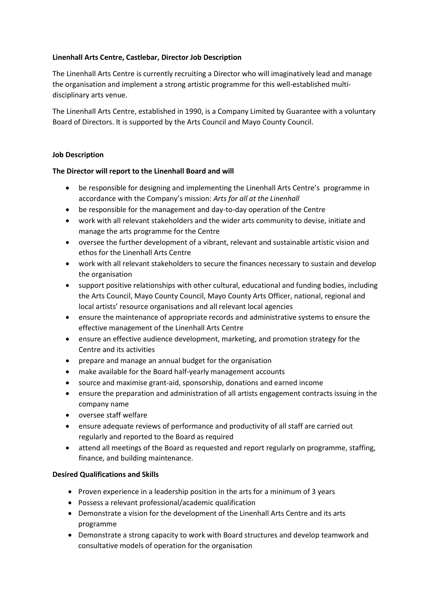# **Linenhall Arts Centre, Castlebar, Director Job Description**

The Linenhall Arts Centre is currently recruiting a Director who will imaginatively lead and manage the organisation and implement a strong artistic programme for this well-established multidisciplinary arts venue.

The Linenhall Arts Centre, established in 1990, is a Company Limited by Guarantee with a voluntary Board of Directors. It is supported by the Arts Council and Mayo County Council.

## **Job Description**

## **The Director will report to the Linenhall Board and will**

- be responsible for designing and implementing the Linenhall Arts Centre's programme in accordance with the Company's mission: *Arts for all at the Linenhall*
- be responsible for the management and day-to-day operation of the Centre
- work with all relevant stakeholders and the wider arts community to devise, initiate and manage the arts programme for the Centre
- oversee the further development of a vibrant, relevant and sustainable artistic vision and ethos for the Linenhall Arts Centre
- work with all relevant stakeholders to secure the finances necessary to sustain and develop the organisation
- support positive relationships with other cultural, educational and funding bodies, including the Arts Council, Mayo County Council, Mayo County Arts Officer, national, regional and local artists' resource organisations and all relevant local agencies
- ensure the maintenance of appropriate records and administrative systems to ensure the effective management of the Linenhall Arts Centre
- ensure an effective audience development, marketing, and promotion strategy for the Centre and its activities
- prepare and manage an annual budget for the organisation
- make available for the Board half-yearly management accounts
- source and maximise grant-aid, sponsorship, donations and earned income
- ensure the preparation and administration of all artists engagement contracts issuing in the company name
- oversee staff welfare
- ensure adequate reviews of performance and productivity of all staff are carried out regularly and reported to the Board as required
- attend all meetings of the Board as requested and report regularly on programme, staffing, finance, and building maintenance.

### **Desired Qualifications and Skills**

- Proven experience in a leadership position in the arts for a minimum of 3 years
- Possess a relevant professional/academic qualification
- Demonstrate a vision for the development of the Linenhall Arts Centre and its arts programme
- Demonstrate a strong capacity to work with Board structures and develop teamwork and consultative models of operation for the organisation